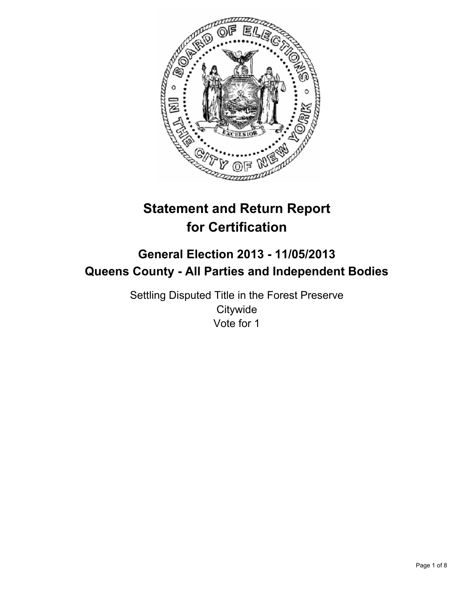

# **Statement and Return Report for Certification**

# **General Election 2013 - 11/05/2013 Queens County - All Parties and Independent Bodies**

Settling Disputed Title in the Forest Preserve **Citywide** Vote for 1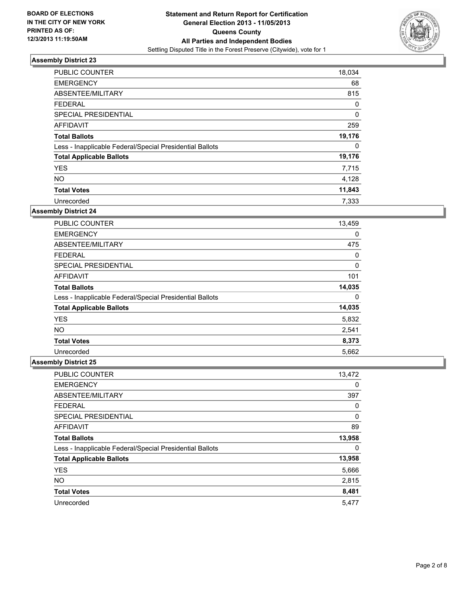

| PUBLIC COUNTER                                           | 18,034   |
|----------------------------------------------------------|----------|
| <b>EMERGENCY</b>                                         | 68       |
| ABSENTEE/MILITARY                                        | 815      |
| <b>FEDERAL</b>                                           | 0        |
| SPECIAL PRESIDENTIAL                                     | $\Omega$ |
| <b>AFFIDAVIT</b>                                         | 259      |
| <b>Total Ballots</b>                                     | 19,176   |
| Less - Inapplicable Federal/Special Presidential Ballots | 0        |
| <b>Total Applicable Ballots</b>                          | 19,176   |
| <b>YES</b>                                               | 7,715    |
| <b>NO</b>                                                | 4,128    |
| <b>Total Votes</b>                                       | 11,843   |
| Unrecorded                                               | 7.333    |

### **Assembly District 24**

| <b>PUBLIC COUNTER</b>                                    | 13,459 |
|----------------------------------------------------------|--------|
| <b>EMERGENCY</b>                                         | 0      |
| ABSENTEE/MILITARY                                        | 475    |
| <b>FEDERAL</b>                                           | 0      |
| <b>SPECIAL PRESIDENTIAL</b>                              | 0      |
| AFFIDAVIT                                                | 101    |
| <b>Total Ballots</b>                                     | 14,035 |
| Less - Inapplicable Federal/Special Presidential Ballots | 0      |
| <b>Total Applicable Ballots</b>                          | 14,035 |
| <b>YES</b>                                               | 5,832  |
| <b>NO</b>                                                | 2,541  |
| <b>Total Votes</b>                                       | 8,373  |
| Unrecorded                                               | 5,662  |

| PUBLIC COUNTER                                           | 13,472 |
|----------------------------------------------------------|--------|
| <b>EMERGENCY</b>                                         | 0      |
| ABSENTEE/MILITARY                                        | 397    |
| <b>FEDERAL</b>                                           | 0      |
| SPECIAL PRESIDENTIAL                                     | 0      |
| AFFIDAVIT                                                | 89     |
| <b>Total Ballots</b>                                     | 13,958 |
| Less - Inapplicable Federal/Special Presidential Ballots | 0      |
| <b>Total Applicable Ballots</b>                          | 13,958 |
| <b>YES</b>                                               | 5,666  |
| <b>NO</b>                                                | 2,815  |
| <b>Total Votes</b>                                       | 8,481  |
| Unrecorded                                               | 5,477  |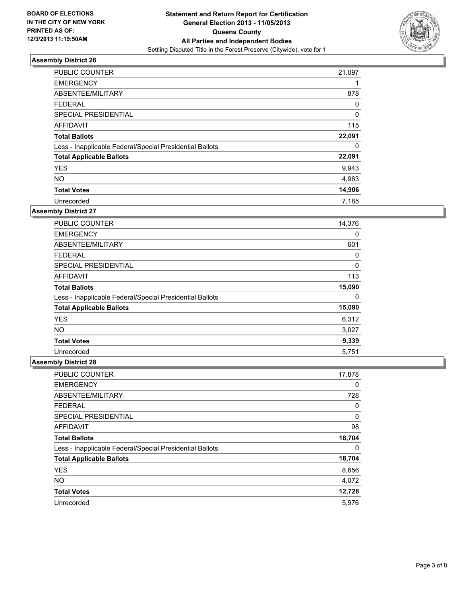

| <b>PUBLIC COUNTER</b>                                    | 21,097 |
|----------------------------------------------------------|--------|
| <b>EMERGENCY</b>                                         |        |
| ABSENTEE/MILITARY                                        | 878    |
| <b>FEDERAL</b>                                           | 0      |
| SPECIAL PRESIDENTIAL                                     | 0      |
| AFFIDAVIT                                                | 115    |
| <b>Total Ballots</b>                                     | 22,091 |
| Less - Inapplicable Federal/Special Presidential Ballots | 0      |
| <b>Total Applicable Ballots</b>                          | 22,091 |
| <b>YES</b>                                               | 9,943  |
| <b>NO</b>                                                | 4,963  |
| <b>Total Votes</b>                                       | 14,906 |
| Unrecorded                                               | 7.185  |

### **Assembly District 27**

| <b>PUBLIC COUNTER</b>                                    | 14,376 |
|----------------------------------------------------------|--------|
| <b>EMERGENCY</b>                                         | 0      |
| ABSENTEE/MILITARY                                        | 601    |
| <b>FEDERAL</b>                                           | 0      |
| <b>SPECIAL PRESIDENTIAL</b>                              | 0      |
| AFFIDAVIT                                                | 113    |
| <b>Total Ballots</b>                                     | 15,090 |
| Less - Inapplicable Federal/Special Presidential Ballots | 0      |
| <b>Total Applicable Ballots</b>                          | 15,090 |
| <b>YES</b>                                               | 6,312  |
| <b>NO</b>                                                | 3,027  |
| <b>Total Votes</b>                                       | 9,339  |
| Unrecorded                                               | 5,751  |

| <b>PUBLIC COUNTER</b>                                    | 17,878 |
|----------------------------------------------------------|--------|
| <b>EMERGENCY</b>                                         | 0      |
| ABSENTEE/MILITARY                                        | 728    |
| <b>FEDERAL</b>                                           | 0      |
| SPECIAL PRESIDENTIAL                                     | 0      |
| AFFIDAVIT                                                | 98     |
| <b>Total Ballots</b>                                     | 18,704 |
| Less - Inapplicable Federal/Special Presidential Ballots | 0      |
| <b>Total Applicable Ballots</b>                          | 18,704 |
| <b>YES</b>                                               | 8,656  |
| <b>NO</b>                                                | 4,072  |
| <b>Total Votes</b>                                       | 12,728 |
| Unrecorded                                               | 5,976  |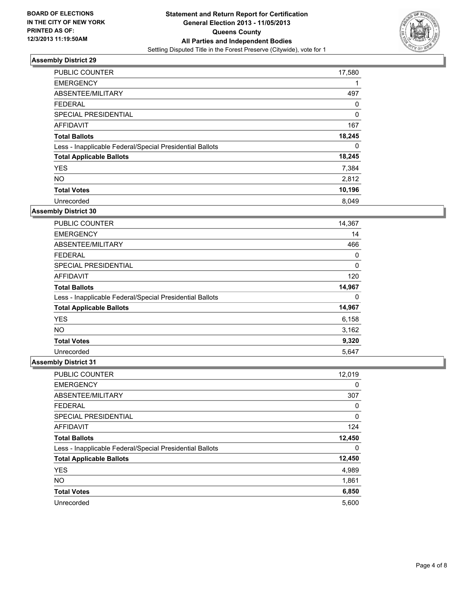

| <b>PUBLIC COUNTER</b>                                    | 17,580   |
|----------------------------------------------------------|----------|
| <b>EMERGENCY</b>                                         |          |
| ABSENTEE/MILITARY                                        | 497      |
| <b>FEDERAL</b>                                           | 0        |
| SPECIAL PRESIDENTIAL                                     | $\Omega$ |
| <b>AFFIDAVIT</b>                                         | 167      |
| <b>Total Ballots</b>                                     | 18,245   |
| Less - Inapplicable Federal/Special Presidential Ballots | 0        |
| <b>Total Applicable Ballots</b>                          | 18,245   |
| <b>YES</b>                                               | 7,384    |
| <b>NO</b>                                                | 2,812    |
| <b>Total Votes</b>                                       | 10,196   |
| Unrecorded                                               | 8.049    |

### **Assembly District 30**

| <b>PUBLIC COUNTER</b>                                    | 14,367 |
|----------------------------------------------------------|--------|
| <b>EMERGENCY</b>                                         | 14     |
| ABSENTEE/MILITARY                                        | 466    |
| <b>FEDERAL</b>                                           | 0      |
| <b>SPECIAL PRESIDENTIAL</b>                              | 0      |
| AFFIDAVIT                                                | 120    |
| <b>Total Ballots</b>                                     | 14,967 |
| Less - Inapplicable Federal/Special Presidential Ballots | 0      |
| <b>Total Applicable Ballots</b>                          | 14,967 |
| <b>YES</b>                                               | 6,158  |
| <b>NO</b>                                                | 3,162  |
| <b>Total Votes</b>                                       | 9,320  |
| Unrecorded                                               | 5,647  |

| PUBLIC COUNTER                                           | 12,019 |
|----------------------------------------------------------|--------|
| <b>EMERGENCY</b>                                         | 0      |
| ABSENTEE/MILITARY                                        | 307    |
| <b>FEDERAL</b>                                           | 0      |
| SPECIAL PRESIDENTIAL                                     | 0      |
| AFFIDAVIT                                                | 124    |
| <b>Total Ballots</b>                                     | 12,450 |
| Less - Inapplicable Federal/Special Presidential Ballots | 0      |
| <b>Total Applicable Ballots</b>                          | 12,450 |
| <b>YES</b>                                               | 4,989  |
| <b>NO</b>                                                | 1,861  |
| <b>Total Votes</b>                                       | 6,850  |
| Unrecorded                                               | 5,600  |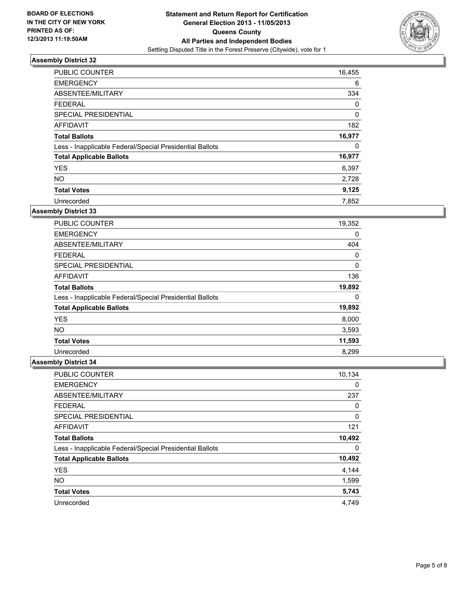

| <b>PUBLIC COUNTER</b>                                    | 16,455   |
|----------------------------------------------------------|----------|
| <b>EMERGENCY</b>                                         | 6        |
| ABSENTEE/MILITARY                                        | 334      |
| <b>FEDERAL</b>                                           | 0        |
| SPECIAL PRESIDENTIAL                                     | $\Omega$ |
| <b>AFFIDAVIT</b>                                         | 182      |
| <b>Total Ballots</b>                                     | 16,977   |
| Less - Inapplicable Federal/Special Presidential Ballots | 0        |
| <b>Total Applicable Ballots</b>                          | 16,977   |
| <b>YES</b>                                               | 6,397    |
| <b>NO</b>                                                | 2,728    |
| <b>Total Votes</b>                                       | 9,125    |
| Unrecorded                                               | 7.852    |

### **Assembly District 33**

| <b>PUBLIC COUNTER</b>                                    | 19,352 |
|----------------------------------------------------------|--------|
| <b>EMERGENCY</b>                                         | 0      |
| ABSENTEE/MILITARY                                        | 404    |
| <b>FEDERAL</b>                                           | 0      |
| <b>SPECIAL PRESIDENTIAL</b>                              | 0      |
| AFFIDAVIT                                                | 136    |
| <b>Total Ballots</b>                                     | 19,892 |
| Less - Inapplicable Federal/Special Presidential Ballots | 0      |
| <b>Total Applicable Ballots</b>                          | 19,892 |
| <b>YES</b>                                               | 8,000  |
| <b>NO</b>                                                | 3,593  |
| <b>Total Votes</b>                                       | 11,593 |
| Unrecorded                                               | 8,299  |

| PUBLIC COUNTER                                           | 10,134 |
|----------------------------------------------------------|--------|
| <b>EMERGENCY</b>                                         | 0      |
| ABSENTEE/MILITARY                                        | 237    |
| <b>FEDERAL</b>                                           | 0      |
| SPECIAL PRESIDENTIAL                                     | 0      |
| AFFIDAVIT                                                | 121    |
| <b>Total Ballots</b>                                     | 10,492 |
| Less - Inapplicable Federal/Special Presidential Ballots | 0      |
| <b>Total Applicable Ballots</b>                          | 10,492 |
| <b>YES</b>                                               | 4,144  |
| <b>NO</b>                                                | 1,599  |
| <b>Total Votes</b>                                       | 5,743  |
| Unrecorded                                               | 4,749  |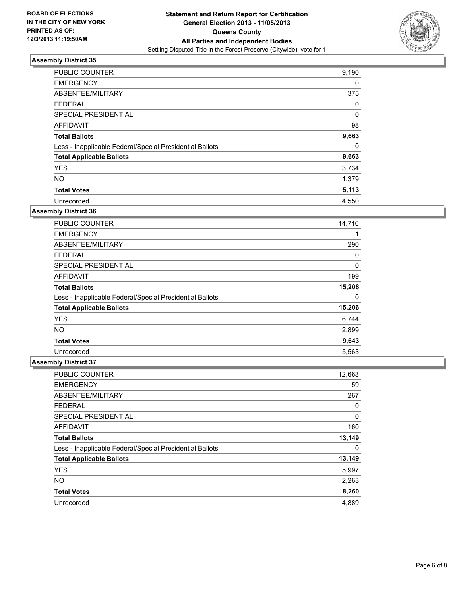

| <b>PUBLIC COUNTER</b>                                    | 9,190 |
|----------------------------------------------------------|-------|
| <b>EMERGENCY</b>                                         | 0     |
| ABSENTEE/MILITARY                                        | 375   |
| <b>FEDERAL</b>                                           | 0     |
| SPECIAL PRESIDENTIAL                                     | 0     |
| <b>AFFIDAVIT</b>                                         | 98    |
| <b>Total Ballots</b>                                     | 9,663 |
| Less - Inapplicable Federal/Special Presidential Ballots | 0     |
| <b>Total Applicable Ballots</b>                          | 9,663 |
| <b>YES</b>                                               | 3,734 |
| <b>NO</b>                                                | 1,379 |
| <b>Total Votes</b>                                       | 5,113 |
| Unrecorded                                               | 4,550 |

### **Assembly District 36**

| <b>PUBLIC COUNTER</b>                                    | 14,716 |
|----------------------------------------------------------|--------|
| <b>EMERGENCY</b>                                         |        |
| ABSENTEE/MILITARY                                        | 290    |
| <b>FEDERAL</b>                                           | 0      |
| <b>SPECIAL PRESIDENTIAL</b>                              | 0      |
| AFFIDAVIT                                                | 199    |
| <b>Total Ballots</b>                                     | 15,206 |
| Less - Inapplicable Federal/Special Presidential Ballots | 0      |
| <b>Total Applicable Ballots</b>                          | 15,206 |
| <b>YES</b>                                               | 6,744  |
| <b>NO</b>                                                | 2,899  |
| <b>Total Votes</b>                                       | 9,643  |
| Unrecorded                                               | 5,563  |

| PUBLIC COUNTER                                           | 12,663 |
|----------------------------------------------------------|--------|
| <b>EMERGENCY</b>                                         | 59     |
| ABSENTEE/MILITARY                                        | 267    |
| <b>FEDERAL</b>                                           | 0      |
| SPECIAL PRESIDENTIAL                                     | 0      |
| AFFIDAVIT                                                | 160    |
| <b>Total Ballots</b>                                     | 13,149 |
| Less - Inapplicable Federal/Special Presidential Ballots | 0      |
| <b>Total Applicable Ballots</b>                          | 13,149 |
| <b>YES</b>                                               | 5,997  |
| <b>NO</b>                                                | 2,263  |
| <b>Total Votes</b>                                       | 8,260  |
| Unrecorded                                               | 4,889  |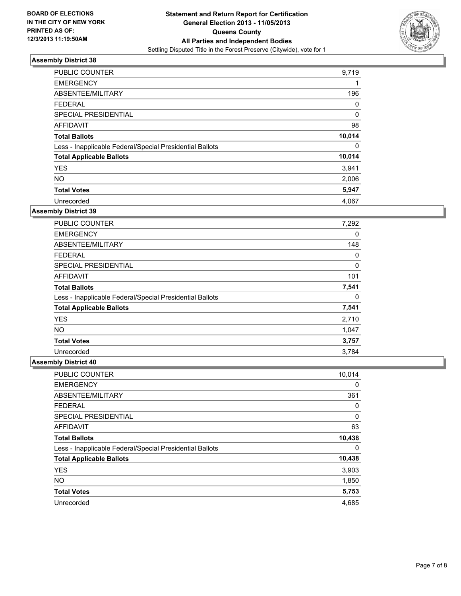

| <b>PUBLIC COUNTER</b>                                    | 9,719  |
|----------------------------------------------------------|--------|
| <b>EMERGENCY</b>                                         | 1      |
| ABSENTEE/MILITARY                                        | 196    |
| <b>FEDERAL</b>                                           | 0      |
| SPECIAL PRESIDENTIAL                                     | 0      |
| <b>AFFIDAVIT</b>                                         | 98     |
| <b>Total Ballots</b>                                     | 10,014 |
| Less - Inapplicable Federal/Special Presidential Ballots | 0      |
| <b>Total Applicable Ballots</b>                          | 10,014 |
| <b>YES</b>                                               | 3,941  |
| <b>NO</b>                                                | 2,006  |
| <b>Total Votes</b>                                       | 5,947  |
| Unrecorded                                               | 4,067  |

### **Assembly District 39**

| <b>PUBLIC COUNTER</b>                                    | 7,292 |
|----------------------------------------------------------|-------|
| <b>EMERGENCY</b>                                         | 0     |
| ABSENTEE/MILITARY                                        | 148   |
| <b>FEDERAL</b>                                           | 0     |
| SPECIAL PRESIDENTIAL                                     | 0     |
| <b>AFFIDAVIT</b>                                         | 101   |
| <b>Total Ballots</b>                                     | 7,541 |
| Less - Inapplicable Federal/Special Presidential Ballots | 0     |
| <b>Total Applicable Ballots</b>                          | 7,541 |
| <b>YES</b>                                               | 2,710 |
| NO.                                                      | 1,047 |
| <b>Total Votes</b>                                       | 3,757 |
| Unrecorded                                               | 3,784 |

| PUBLIC COUNTER                                           | 10,014 |
|----------------------------------------------------------|--------|
| <b>EMERGENCY</b>                                         | 0      |
| ABSENTEE/MILITARY                                        | 361    |
| <b>FEDERAL</b>                                           | 0      |
| SPECIAL PRESIDENTIAL                                     | 0      |
| AFFIDAVIT                                                | 63     |
| <b>Total Ballots</b>                                     | 10,438 |
| Less - Inapplicable Federal/Special Presidential Ballots | 0      |
| <b>Total Applicable Ballots</b>                          | 10,438 |
| <b>YES</b>                                               | 3,903  |
| <b>NO</b>                                                | 1,850  |
| <b>Total Votes</b>                                       | 5,753  |
| Unrecorded                                               | 4,685  |